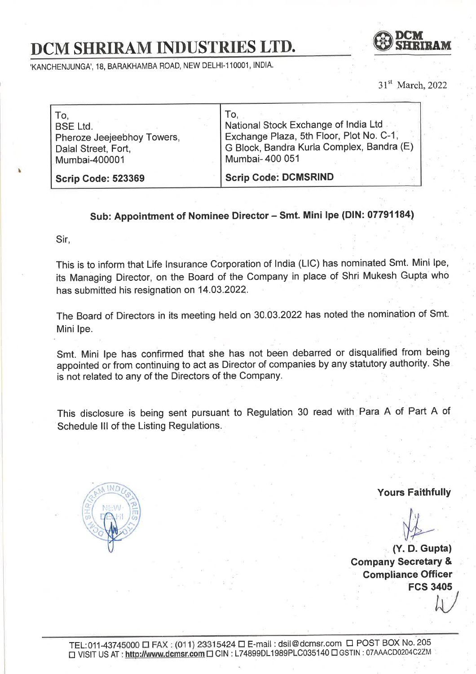## DCM SHRIRAM INDUSTRIES LTD.



'KANCHENJUNGA', 18, BARAKHAMBA ROAD, NEW DELHI-110001, INDIA.

31<sup>st</sup> March, 2022

| To.                        | To.                                       |
|----------------------------|-------------------------------------------|
| <b>BSE Ltd.</b>            | National Stock Exchange of India Ltd      |
| Pheroze Jeejeebhoy Towers, | Exchange Plaza, 5th Floor, Plot No. C-1,  |
| Dalal Street, Fort,        | G Block, Bandra Kurla Complex, Bandra (E) |
| Mumbai-400001              | Mumbai- 400 051                           |
| <b>Scrip Code: 523369</b>  | <b>Scrip Code: DCMSRIND</b>               |

## Sub: Appointment of Nominee Director - Smt. Mini lpe (DIN: 07791184)

Sir,

I

This is to inform that Life lnsurance Corporation of lndia (LlC) has nominated Smt. Mini lpe, its Managing Director, on the Board of the Company in place of Shri Mukesh Gupta who has submitted his resignation on 14.03.2022.

The Board of Directors in its meeting held on 30.03.2022 has noted the nomination of Smt: Mini lpe.

Smt. Mini lpe has confirmed that she has not been debarred or disqualified from being appointed or from continuing to act as Director of companies by any statutory authority. She is not related to any of the Directors of the Company

This disclosure is being sent pursuant to Regulation 30 read with Para A of Part A of Schedule lll of the Listing Regulations.



Yours Faithfully

 $\downarrow \downarrow \downarrow$ 

(Y. D. Gupta) Company Secretary & Compliance Officer FCS 3405